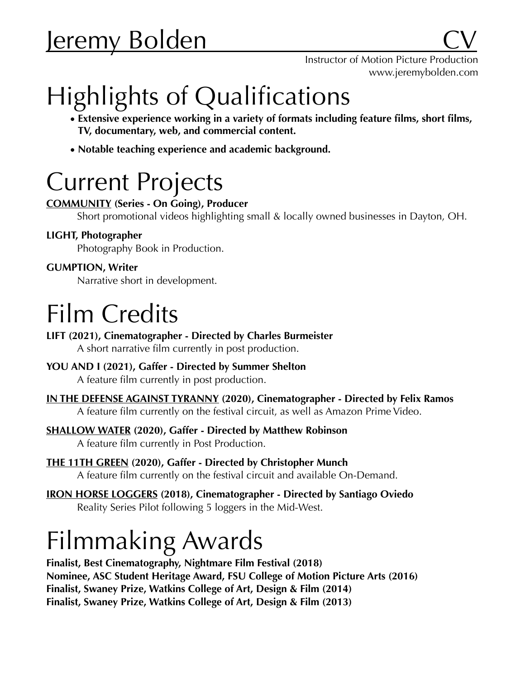# <u>Jeremy Bolden</u>

# Highlights of Qualifications

- **• Extensive experience working in a variety of formats including feature films, short films, TV, documentary, web, and commercial content.**
- **• Notable teaching experience and academic background.**

## Current Projects

### **[COMMUNITY](https://www.jeremybolden.com/community) (Series - On Going), Producer**

Short promotional videos highlighting small & locally owned businesses in Dayton, OH.

### **LIGHT, Photographer**

Photography Book in Production.

### **GUMPTION, Writer**

Narrative short in development.

# Film Credits

**LIFT (2021), Cinematographer - Directed by Charles Burmeister**

A short narrative film currently in post production.

### **YOU AND I (2021), Gaffer - Directed by Summer Shelton**

A feature film currently in post production.

**[IN THE DEFENSE AGAINST TYRANNY](https://www.youtube.com/watch?v=Ctbl8Kqe9_c) (2020), Cinematographer - Directed by Felix Ramos**

A feature film currently on the festival circuit, as well as [Amazon Prime Video.](https://www.amazon.com/gp/video/detail/B08LDZ9F9C/ref=atv_dp_share_cu_r)

### **[SHALLOW WATER](https://vimeo.com/422295057) (2020), Gaffer - Directed by Matthew Robinson**

A feature film currently in Post Production.

**[THE 11TH GREEN](https://vimeo.com/383020922) (2020), Gaffer - Directed by Christopher Munch**  A feature film currently on the festival circuit and available [On-Demand.](https://theatricalathome.com/products/the-11th-green)

**[IRON HORSE LOGGERS](https://vimeo.com/280847018/037c01b2b4) (2018), Cinematographer - Directed by Santiago Oviedo**  Reality Series Pilot following 5 loggers in the Mid-West.

# Filmmaking Awards

**Finalist, Best Cinematography, Nightmare Film Festival (2018) Nominee, ASC Student Heritage Award, FSU College of Motion Picture Arts (2016) Finalist, Swaney Prize, Watkins College of Art, Design & Film (2014) Finalist, Swaney Prize, Watkins College of Art, Design & Film (2013)**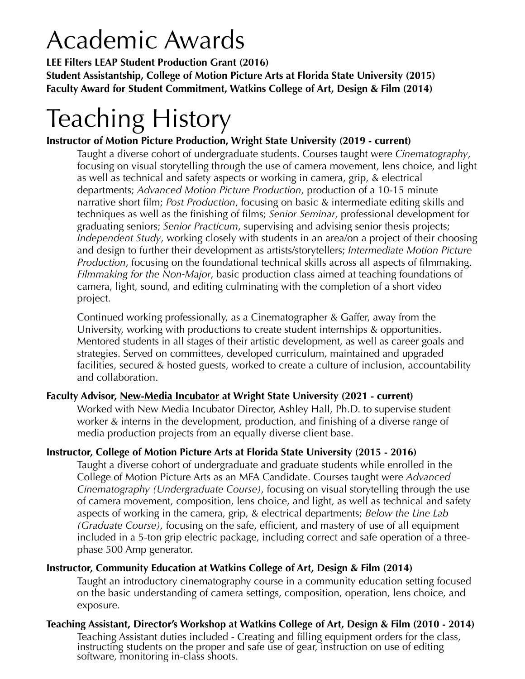# Academic Awards

**LEE Filters LEAP Student Production Grant (2016) Student Assistantship, College of Motion Picture Arts at Florida State University (2015) Faculty Award for Student Commitment, Watkins College of Art, Design & Film (2014)** 

# Teaching History

### **Instructor of Motion Picture Production, Wright State University (2019 - current)**

Taught a diverse cohort of undergraduate students. Courses taught were *Cinematography*, focusing on visual storytelling through the use of camera movement, lens choice, and light as well as technical and safety aspects or working in camera, grip, & electrical departments; *Advanced Motion Picture Production*, production of a 10-15 minute narrative short film; *Post Production*, focusing on basic & intermediate editing skills and techniques as well as the finishing of films; *Senior Seminar*, professional development for graduating seniors; *Senior Practicum*, supervising and advising senior thesis projects; *Independent Study*, working closely with students in an area/on a project of their choosing and design to further their development as artists/storytellers; *Intermediate Motion Picture Production*, focusing on the foundational technical skills across all aspects of filmmaking. *Filmmaking for the Non-Major*, basic production class aimed at teaching foundations of camera, light, sound, and editing culminating with the completion of a short video project.

Continued working professionally, as a Cinematographer & Gaffer, away from the University, working with productions to create student internships & opportunities. Mentored students in all stages of their artistic development, as well as career goals and strategies. Served on committees, developed curriculum, maintained and upgraded facilities, secured & hosted guests, worked to create a culture of inclusion, accountability and collaboration.

#### **Faculty Advisor, [New-Media Incubator](https://liberal-arts.wright.edu/about/new-media-incubator) at Wright State University (2021 - current)**

Worked with New Media Incubator Director, Ashley Hall, Ph.D. to supervise student worker & interns in the development, production, and finishing of a diverse range of media production projects from an equally diverse client base.

### **Instructor, College of Motion Picture Arts at Florida State University (2015 - 2016)**

Taught a diverse cohort of undergraduate and graduate students while enrolled in the College of Motion Picture Arts as an MFA Candidate. Courses taught were *Advanced Cinematography (Undergraduate Course)*, focusing on visual storytelling through the use of camera movement, composition, lens choice, and light, as well as technical and safety aspects of working in the camera, grip, & electrical departments; *Below the Line Lab (Graduate Course),* focusing on the safe, efficient, and mastery of use of all equipment included in a 5-ton grip electric package, including correct and safe operation of a threephase 500 Amp generator.

#### **Instructor, Community Education at Watkins College of Art, Design & Film (2014)**

Taught an introductory cinematography course in a community education setting focused on the basic understanding of camera settings, composition, operation, lens choice, and exposure.

**Teaching Assistant, Director's Workshop at Watkins College of Art, Design & Film (2010 - 2014)**  Teaching Assistant duties included - Creating and filling equipment orders for the class, instructing students on the proper and safe use of gear, instruction on use of editing software, monitoring in-class shoots.